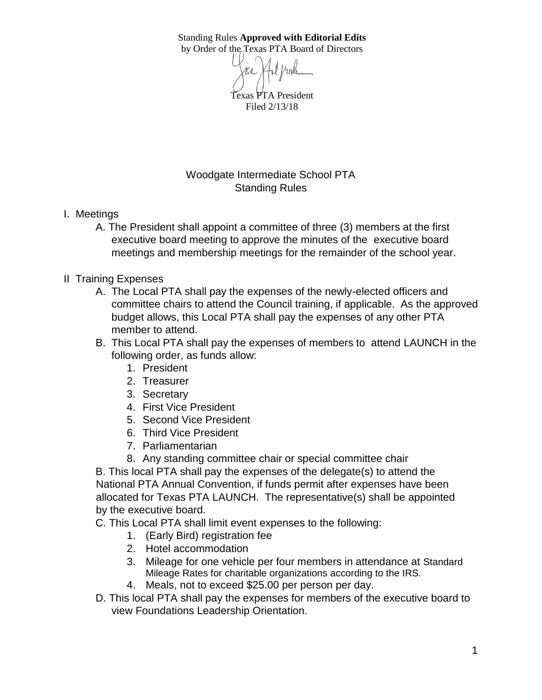Standing Rules **Approved with Editorial Edits** by Order of the Texas PTA Board of Directors

> Texas PTA President Filed 2/13/18

Woodgate Intermediate School PTA Standing Rules

- I. Meetings
	- A. The President shall appoint a committee of three (3) members at the first executive board meeting to approve the minutes of the executive board meetings and membership meetings for the remainder of the school year.
- II Training Expenses
	- A. The Local PTA shall pay the expenses of the newly-elected officers and committee chairs to attend the Council training, if applicable. As the approved budget allows, this Local PTA shall pay the expenses of any other PTA member to attend.
	- B. This Local PTA shall pay the expenses of members to attend LAUNCH in the following order, as funds allow:
		- 1. President
		- 2. Treasurer
		- 3. Secretary
		- 4. First Vice President
		- 5. Second Vice President
		- 6. Third Vice President
		- 7. Parliamentarian
		- 8. Any standing committee chair or special committee chair

B. This local PTA shall pay the expenses of the delegate(s) to attend the National PTA Annual Convention, if funds permit after expenses have been allocated for Texas PTA LAUNCH. The representative(s) shall be appointed by the executive board.

C. This Local PTA shall limit event expenses to the following:

- 1. (Early Bird) registration fee
- 2. Hotel accommodation
- 3. Mileage for one vehicle per four members in attendance at Standard Mileage Rates for charitable organizations according to the IRS.
- 4. Meals, not to exceed \$25.00 per person per day.
- D. This local PTA shall pay the expenses for members of the executive board to view Foundations Leadership Orientation.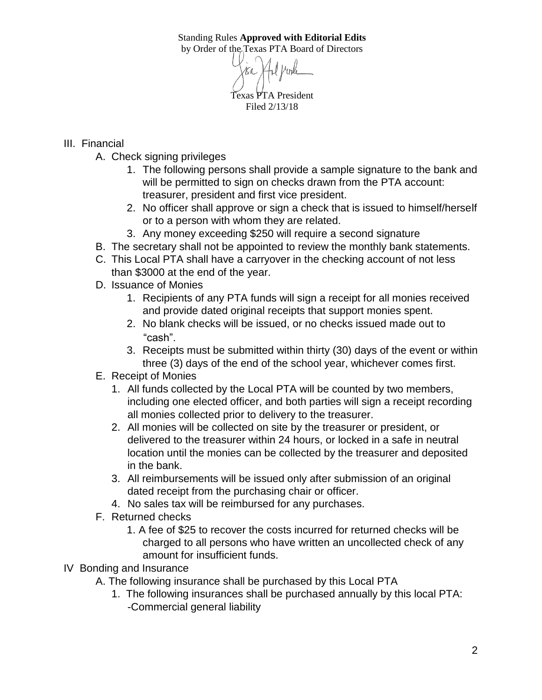Standing Rules **Approved with Editorial Edits** by Order of the Texas PTA Board of Directors

Texas PTA President Filed 2/13/18

## III. Financial

- A. Check signing privileges
	- 1. The following persons shall provide a sample signature to the bank and will be permitted to sign on checks drawn from the PTA account: treasurer, president and first vice president.
	- 2. No officer shall approve or sign a check that is issued to himself/herself or to a person with whom they are related.
	- 3. Any money exceeding \$250 will require a second signature
- B. The secretary shall not be appointed to review the monthly bank statements.
- C. This Local PTA shall have a carryover in the checking account of not less than \$3000 at the end of the year.
- D. Issuance of Monies
	- 1. Recipients of any PTA funds will sign a receipt for all monies received and provide dated original receipts that support monies spent.
	- 2. No blank checks will be issued, or no checks issued made out to "cash".
	- 3. Receipts must be submitted within thirty (30) days of the event or within three (3) days of the end of the school year, whichever comes first.
- E. Receipt of Monies
	- 1. All funds collected by the Local PTA will be counted by two members, including one elected officer, and both parties will sign a receipt recording all monies collected prior to delivery to the treasurer.
	- 2. All monies will be collected on site by the treasurer or president, or delivered to the treasurer within 24 hours, or locked in a safe in neutral location until the monies can be collected by the treasurer and deposited in the bank.
	- 3. All reimbursements will be issued only after submission of an original dated receipt from the purchasing chair or officer.
	- 4. No sales tax will be reimbursed for any purchases.
- F. Returned checks
	- 1. A fee of \$25 to recover the costs incurred for returned checks will be charged to all persons who have written an uncollected check of any amount for insufficient funds.
- IV Bonding and Insurance
	- A. The following insurance shall be purchased by this Local PTA
		- 1. The following insurances shall be purchased annually by this local PTA: -Commercial general liability